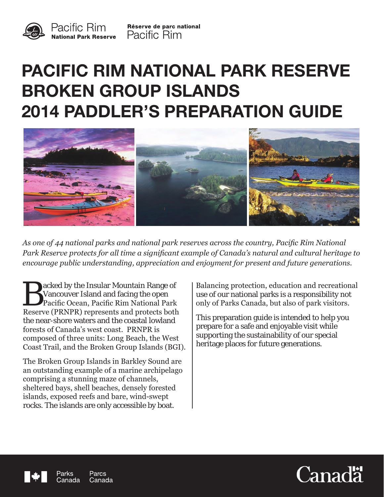

Réserve de parc national **Pacific Rim** 

# **PACIFIC RIM NATIONAL PARK RESERVE BROKEN GROUP ISLANDS 2014 PADDLER'S PREPARATION GUIDE**



*As one of 44 national parks and national park reserves across the country, Pacific Rim National Park Reserve protects for all time a significant example of Canada's natural and cultural heritage to encourage public understanding, appreciation and enjoyment for present and future generations.*

Explored by the Insular Mountain Range of<br>Vancouver Island and facing the open<br>Pacific Ocean, Pacific Rim National Park<br>Reserve (PRNPR) represents and protects both acked by the Insular Mountain Range of Vancouver Island and facing the open Pacific Ocean, Pacific Rim National Park the near-shore waters and the coastal lowland forests of Canada's west coast. PRNPR is composed of three units: Long Beach, the West Coast Trail, and the Broken Group Islands (BGI).

The Broken Group Islands in Barkley Sound are an outstanding example of a marine archipelago comprising a stunning maze of channels, sheltered bays, shell beaches, densely forested islands, exposed reefs and bare, wind-swept rocks. The islands are only accessible by boat.

Balancing protection, education and recreational use of our national parks is a responsibility not only of Parks Canada, but also of park visitors.

This preparation guide is intended to help you prepare for a safe and enjoyable visit while supporting the sustainability of our special heritage places for future generations.



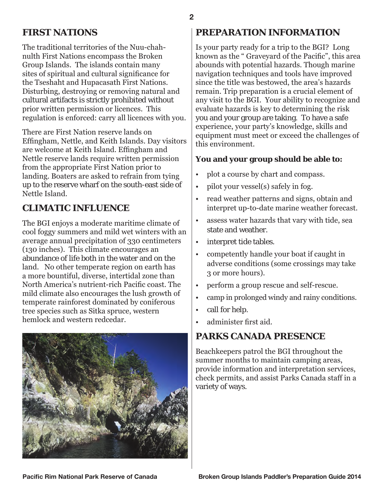## **FIRST NATIONS**

The traditional territories of the Nuu-chahnulth First Nations encompass the Broken Group Islands. The islands contain many sites of spiritual and cultural significance for the Tseshaht and Hupacasath First Nations. Disturbing, destroying or removing natural and cultural artifacts is strictly prohibited without prior written permission or licences. This regulation is enforced: carry all licences with you.

There are First Nation reserve lands on Effingham, Nettle, and Keith Islands. Day visitors are welcome at Keith Island. Effingham and Nettle reserve lands require written permission from the appropriate First Nation prior to landing. Boaters are asked to refrain from tying up to the reserve wharf on the south-east side of Nettle Island.

# **CLIMATIC INFLUENCE**

The BGI enjoys a moderate maritime climate of cool foggy summers and mild wet winters with an average annual precipitation of 330 centimeters (130 inches). This climate encourages an abundance of life both in the water and on the land. No other temperate region on earth has a more bountiful, diverse, intertidal zone than North America's nutrient-rich Pacific coast. The mild climate also encourages the lush growth of temperate rainforest dominated by coniferous tree species such as Sitka spruce, western hemlock and western redcedar.



# **PREPARATION INFORMATION**

Is your party ready for a trip to the BGI? Long known as the " Graveyard of the Pacific", this area abounds with potential hazards. Though marine navigation techniques and tools have improved since the title was bestowed, the area's hazards remain. Trip preparation is a crucial element of any visit to the BGI. Your ability to recognize and evaluate hazards is key to determining the risk you and your group are taking. To have a safe experience, your party's knowledge, skills and equipment must meet or exceed the challenges of this environment.

#### **You and your group should be able to:**

- plot a course by chart and compass. •
- pilot your vessel(s) safely in fog. •
- read weather patterns and signs, obtain and interpret up-to-date marine weather forecast. •
- assess water hazards that vary with tide, sea state and weather. •
- interpret tide tables. •
- competently handle your boat if caught in adverse conditions (some crossings may take 3 or more hours). •
- perform a group rescue and self-rescue. •
- camp in prolonged windy and rainy conditions. •
- call for help. •
- administer first aid. •

# **PARKS CANADA PRESENCE**

Beachkeepers patrol the BGI throughout the summer months to maintain camping areas, provide information and interpretation services, check permits, and assist Parks Canada staff in a variety of ways.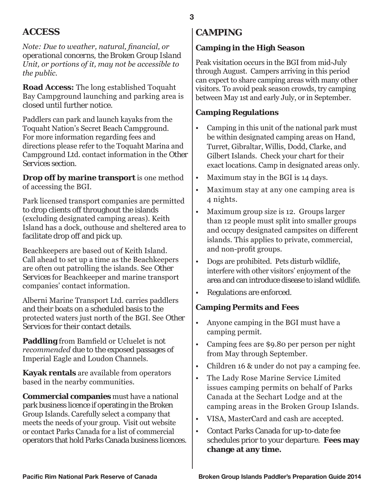# **ACCESS**

*Note: Due to weather, natural, financial, or operational concerns, the Broken Group Island Unit, or portions of it, may not be accessible to the public.*

**Road Access:** The long established Toquaht Bay Campground launching and parking area is closed until further notice.

Paddlers can park and launch kayaks from the Toquaht Nation's Secret Beach Campground. For more information regarding fees and directions please refer to the Toquaht Marina and Campground Ltd. contact information in the *Other Services* section.

**Drop off by marine transport** is one method of accessing the BGI.

Park licensed transport companies are permitted to drop clients off throughout the islands (excluding designated camping areas). Keith Island has a dock, outhouse and sheltered area to facilitate drop off and pick up.

Beachkeepers are based out of Keith Island. Call ahead to set up a time as the Beachkeepers are often out patrolling the islands. See *Other Services* for Beachkeeper and marine transport companies' contact information.

Alberni Marine Transport Ltd. carries paddlers and their boats on a scheduled basis to the protected waters just north of the BGI. See *Other Services* for their contact details.

**Paddling** from Bamfield or Ucluelet is *not recommended* due to the exposed passages of Imperial Eagle and Loudon Channels.

**Kayak rentals** are available from operators based in the nearby communities.

**Commercial companies** must have a national park business licence if operating in the Broken Group Islands. Carefully select a company that meets the needs of your group. Visit out website or contact Parks Canada for a list of commercial operators that hold Parks Canada business licences.

# **CAMPING**

#### **Camping in the High Season**

Peak visitation occurs in the BGI from mid-July through August. Campers arriving in this period can expect to share camping areas with many other visitors. To avoid peak season crowds, try camping between May 1st and early July, or in September.

#### **Camping Regulations**

- Camping in this unit of the national park must be within designated camping areas on Hand, Turret, Gibraltar, Willis, Dodd, Clarke, and Gilbert Islands. Check your chart for their exact locations. Camp in designated areas only. •
- Maximum stay in the BGI is 14 days. •
- Maximum stay at any one camping area is 4 nights. •
- Maximum group size is 12. Groups larger than 12 people must split into smaller groups and occupy designated campsites on different islands. This applies to private, commercial, and non-profit groups. •
- Dogs are prohibited. Pets disturb wildlife, interfere with other visitors' enjoyment of the area and can introduce disease to island wildlife. •
- Regulations are enforced. •

### **Camping Permits and Fees**

- Anyone camping in the BGI must have a camping permit. •
- Camping fees are \$9.80 per person per night from May through September. •
- Children 16 & under do not pay a camping fee. •
- The Lady Rose Marine Service Limited issues camping permits on behalf of Parks Canada at the Sechart Lodge and at the camping areas in the Broken Group Islands. •
- VISA, MasterCard and cash are accepted. •
- Contact Parks Canada for up-to-date fee schedules prior to your departure. **Fees may change at any time.** •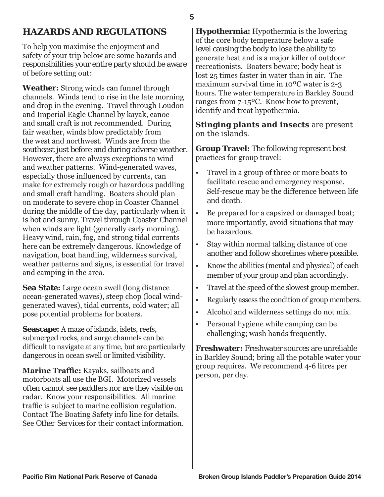# **HAZARDS AND REGULATIONS**

To help you maximise the enjoyment and safety of your trip below are some hazards and responsibilities your entire party should be aware of before setting out:

**Weather:** Strong winds can funnel through channels. Winds tend to rise in the late morning and drop in the evening. Travel through Loudon and Imperial Eagle Channel by kayak, canoe and small craft is not recommended. During fair weather, winds blow predictably from the west and northwest. Winds are from the southeast just before and during adverse weather. However, there are always exceptions to wind and weather patterns. Wind-generated waves, especially those influenced by currents, can make for extremely rough or hazardous paddling and small craft handling. Boaters should plan on moderate to severe chop in Coaster Channel during the middle of the day, particularly when it is hot and sunny. Travel through Coaster Channel when winds are light (generally early morning). Heavy wind, rain, fog, and strong tidal currents here can be extremely dangerous. Knowledge of navigation, boat handling, wilderness survival, weather patterns and signs, is essential for travel and camping in the area.

**Sea State:** Large ocean swell (long distance ocean-generated waves), steep chop (local windgenerated waves), tidal currents, cold water; all pose potential problems for boaters.

**Seascape:** A maze of islands, islets, reefs, submerged rocks, and surge channels can be difficult to navigate at any time, but are particularly dangerous in ocean swell or limited visibility.

**Marine Traffic:** Kayaks, sailboats and motorboats all use the BGI. Motorized vessels often cannot see paddlers nor are they visible on radar. Know your responsibilities. All marine traffic is subject to marine collision regulation. Contact The Boating Safety info line for details. See *Other Services* for their contact information. **Hypothermia:** Hypothermia is the lowering of the core body temperature below a safe level causing the body to lose the ability to generate heat and is a major killer of outdoor recreationists. Boaters beware; body heat is lost 25 times faster in water than in air. The maximum survival time in 10ºC water is 2-3 hours. The water temperature in Barkley Sound ranges from 7-15ºC. Know how to prevent, identify and treat hypothermia.

**Stinging plants and insects** are present on the islands.

**Group Travel:** The following represent best practices for group travel:

- Travel in a group of three or more boats to facilitate rescue and emergency response. Self-rescue may be the difference between life and death.
- Be prepared for a capsized or damaged boat; more importantly, avoid situations that may be hazardous.
- Stay within normal talking distance of one another and follow shorelines where possible.
- Know the abilities (mental and physical) of each member of your group and plan accordingly.
- Travel at the speed of the slowest group member.
- Regularly assess the condition of group members.
- Alcohol and wilderness settings do not mix.
- Personal hygiene while camping can be challenging; wash hands frequently.

**Freshwater:** Freshwater sources are unreliable in Barkley Sound; bring all the potable water your group requires. We recommend 4-6 litres per person, per day.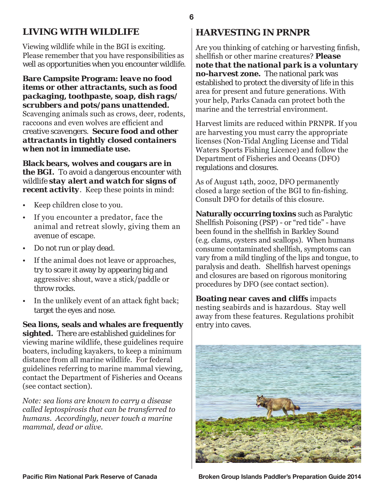## **LIVING WITH WILDLIFE**

Viewing wildlife while in the BGI is exciting. Please remember that you have responsibilities as well as opportunities when you encounter wildlife.

#### **Bare Campsite Program:** *leave no food items or other attractants, such as food packaging, toothpaste, soap, dish rags/ scrubbers and pots/pans unattended.*

Scavenging animals such as crows, deer, rodents, raccoons and even wolves are efficient and creative scavengers. *Secure food and other attractants in tightly closed containers when not in immediate use.*

**Black bears, wolves and cougars are in the BGI.** To avoid a dangerous encounter with wildlife *stay alert and watch for signs of recent activity*. Keep these points in mind:

- Keep children close to you.
- If you encounter a predator, face the animal and retreat slowly, giving them an avenue of escape.
- Do not run or play dead.
- If the animal does not leave or approaches, try to scare it away by appearing big and aggressive: shout, wave a stick/paddle or throw rocks.
- In the unlikely event of an attack fight back; target the eyes and nose.

**Sea lions, seals and whales are frequently sighted.** There are established guidelines for viewing marine wildlife, these guidelines require boaters, including kayakers, to keep a minimum distance from all marine wildlife. For federal guidelines referring to marine mammal viewing, contact the Department of Fisheries and Oceans (see contact section).

*Note: sea lions are known to carry a disease called leptospirosis that can be transferred to humans. Accordingly, never touch a marine mammal, dead or alive.*

## **HARVESTING IN PRNPR**

Are you thinking of catching or harvesting finfish, shellfish or other marine creatures? *Please note that the national park is a voluntary no-harvest zone.* The national park was established to protect the diversity of life in this area for present and future generations. With your help, Parks Canada can protect both the marine and the terrestrial environment.

Harvest limits are reduced within PRNPR. If you are harvesting you must carry the appropriate licenses (Non-Tidal Angling License and Tidal Waters Sports Fishing Licence) and follow the Department of Fisheries and Oceans (DFO) regulations and closures.

As of August 14th, 2002, DFO permanently closed a large section of the BGI to fin-fishing. Consult DFO for details of this closure.

**Naturally occurring toxins** such as Paralytic Shellfish Poisoning (PSP) - or "red tide" - have been found in the shellfish in Barkley Sound (e.g. clams, oysters and scallops). When humans consume contaminated shellfish, symptoms can vary from a mild tingling of the lips and tongue, to paralysis and death. Shellfish harvest openings and closures are based on rigorous monitoring procedures by DFO (see contact section).

**Boating near caves and cliffs** impacts nesting seabirds and is hazardous. Stay well away from these features. Regulations prohibit entry into caves.

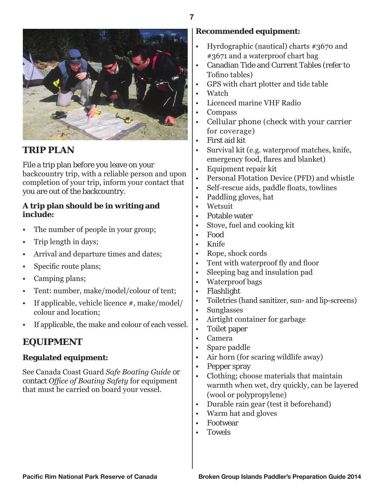

# **TRIP PLAN**

File a trip plan before you leave on your backcountry trip, with a reliable person and upon completion of your trip, inform your contact that you are out of the backcountry.

#### **A trip plan should be in writing and include:**

- The number of people in your group;
- Trip length in days;
- Arrival and departure times and dates;
- Specific route plans;
- Camping plans;
- Tent: number, make/model/colour of tent;
- If applicable, vehicle licence #, make/model/ colour and location;
- If applicable, the make and colour of each vessel.

# **EQUIPMENT**

#### **Regulated equipment:**

See Canada Coast Guard *Safe Boating Guide* or contact *Office of Boating Safety* for equipment that must be carried on board your vessel.

#### **Recommended equipment:**

- Hyrdographic (nautical) charts #3670 and #3671 and a waterproof chart bag
- Canadian Tide and Current Tables (refer to Tofino tables)
- GPS with chart plotter and tide table
- Watch
- Licenced marine VHF Radio
- Compass
- Cellular phone (check with your carrier for coverage)
- First aid kit
- Survival kit (e.g. waterproof matches, knife, emergency food, flares and blanket)
- Equipment repair kit
- Personal Flotation Device (PFD) and whistle
- Self-rescue aids, paddle floats, towlines
- Paddling gloves, hat
- Wetsuit
- Potable water
- Stove, fuel and cooking kit
- Food
- Knife
- Rope, shock cords
- Tent with waterproof fly and floor
- Sleeping bag and insulation pad
- Waterproof bags
- Flashlight
- Toiletries (hand sanitizer, sun- and lip-screens)
- Sunglasses
- Airtight container for garbage
- Toilet paper
- Camera
- Spare paddle
- Air horn (for scaring wildlife away)
- Pepper spray
- Clothing; choose materials that maintain warmth when wet, dry quickly, can be layered (wool or polypropylene)
- Durable rain gear (test it beforehand)
- Warm hat and gloves
- Footwear
- **Towels**